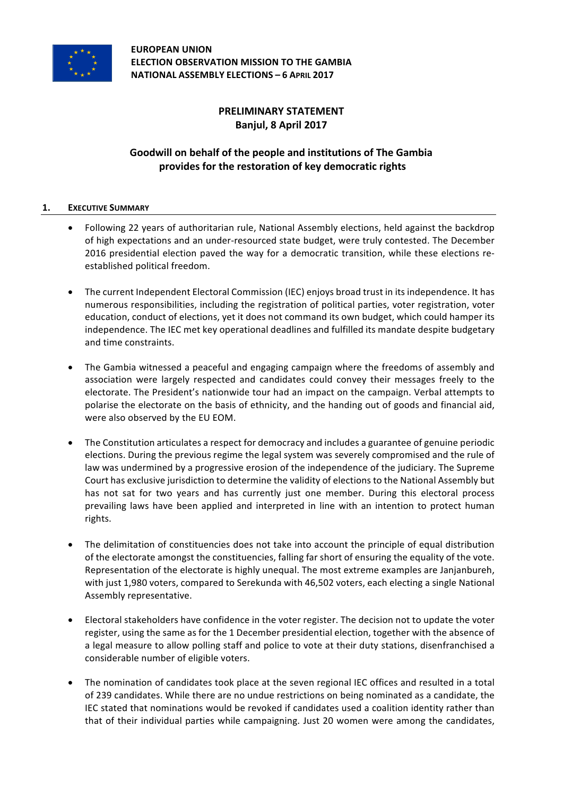

**EUROPEAN UNION ELECTION OBSERVATION MISSION TO THE GAMBIA NATIONAL ASSEMBLY ELECTIONS – 6 APRIL 2017**

# **PRELIMINARY STATEMENT Banjul, 8 April 2017**

# Goodwill on behalf of the people and institutions of The Gambia provides for the restoration of key democratic rights

## **1. EXECUTIVE SUMMARY**

- Following 22 years of authoritarian rule, National Assembly elections, held against the backdrop of high expectations and an under-resourced state budget, were truly contested. The December 2016 presidential election paved the way for a democratic transition, while these elections reestablished political freedom.
- The current Independent Electoral Commission (IEC) enjoys broad trust in its independence. It has numerous responsibilities, including the registration of political parties, voter registration, voter education, conduct of elections, yet it does not command its own budget, which could hamper its independence. The IEC met key operational deadlines and fulfilled its mandate despite budgetary and time constraints.
- The Gambia witnessed a peaceful and engaging campaign where the freedoms of assembly and association were largely respected and candidates could convey their messages freely to the electorate. The President's nationwide tour had an impact on the campaign. Verbal attempts to polarise the electorate on the basis of ethnicity, and the handing out of goods and financial aid, were also observed by the EU EOM.
- The Constitution articulates a respect for democracy and includes a guarantee of genuine periodic elections. During the previous regime the legal system was severely compromised and the rule of law was undermined by a progressive erosion of the independence of the judiciary. The Supreme Court has exclusive jurisdiction to determine the validity of elections to the National Assembly but has not sat for two years and has currently just one member. During this electoral process prevailing laws have been applied and interpreted in line with an intention to protect human rights.
- The delimitation of constituencies does not take into account the principle of equal distribution of the electorate amongst the constituencies, falling far short of ensuring the equality of the vote. Representation of the electorate is highly unequal. The most extreme examples are Janjanbureh, with just 1,980 voters, compared to Serekunda with 46,502 voters, each electing a single National Assembly representative.
- Electoral stakeholders have confidence in the voter register. The decision not to update the voter register, using the same as for the 1 December presidential election, together with the absence of a legal measure to allow polling staff and police to vote at their duty stations, disenfranchised a considerable number of eligible voters.
- The nomination of candidates took place at the seven regional IEC offices and resulted in a total of 239 candidates. While there are no undue restrictions on being nominated as a candidate, the IEC stated that nominations would be revoked if candidates used a coalition identity rather than that of their individual parties while campaigning. Just 20 women were among the candidates,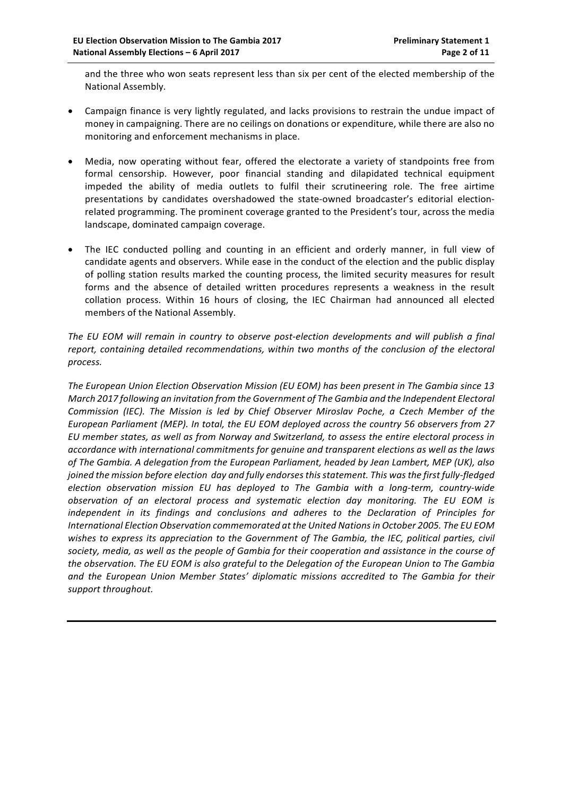and the three who won seats represent less than six per cent of the elected membership of the National Assembly.

- Campaign finance is very lightly regulated, and lacks provisions to restrain the undue impact of money in campaigning. There are no ceilings on donations or expenditure, while there are also no monitoring and enforcement mechanisms in place.
- Media, now operating without fear, offered the electorate a variety of standpoints free from formal censorship. However, poor financial standing and dilapidated technical equipment impeded the ability of media outlets to fulfil their scrutineering role. The free airtime presentations by candidates overshadowed the state-owned broadcaster's editorial electionrelated programming. The prominent coverage granted to the President's tour, across the media landscape, dominated campaign coverage.
- The IEC conducted polling and counting in an efficient and orderly manner, in full view of candidate agents and observers. While ease in the conduct of the election and the public display of polling station results marked the counting process, the limited security measures for result forms and the absence of detailed written procedures represents a weakness in the result collation process. Within 16 hours of closing, the IEC Chairman had announced all elected members of the National Assembly.

The EU EOM will remain in country to observe post-election developments and will publish a final report, containing detailed recommendations, within two months of the conclusion of the electoral *process.*

The European Union Election Observation Mission (EU EOM) has been present in The Gambia since 13 *March 2017 following an invitation from the Government of The Gambia and the Independent Electoral Commission* (IEC). The Mission is led by Chief Observer Miroslav Poche, a Czech Member of the European Parliament (MEP). In total, the EU EOM deployed across the country 56 observers from 27 *EU member states, as well as from Norway and Switzerland, to assess the entire electoral process in*  accordance with international commitments for genuine and transparent elections as well as the laws of The Gambia. A delegation from the European Parliament, headed by Jean Lambert, MEP (UK), also *joined the mission before election day and fully endorses this statement. This was the first fully-fledged election observation mission EU has deployed to The Gambia with a long-term, country-wide observation of an electoral process and systematic election day monitoring. The EU EOM is*  independent in its findings and conclusions and adheres to the Declaration of Principles for International Election Observation commemorated at the United Nations in October 2005. The EU EOM wishes to express its appreciation to the Government of The Gambia, the IEC, political parties, civil society, media, as well as the people of Gambia for their cooperation and assistance in the course of the observation. The EU EOM is also grateful to the Delegation of the European Union to The Gambia and the European Union Member States' diplomatic missions accredited to The Gambia for their *support throughout.*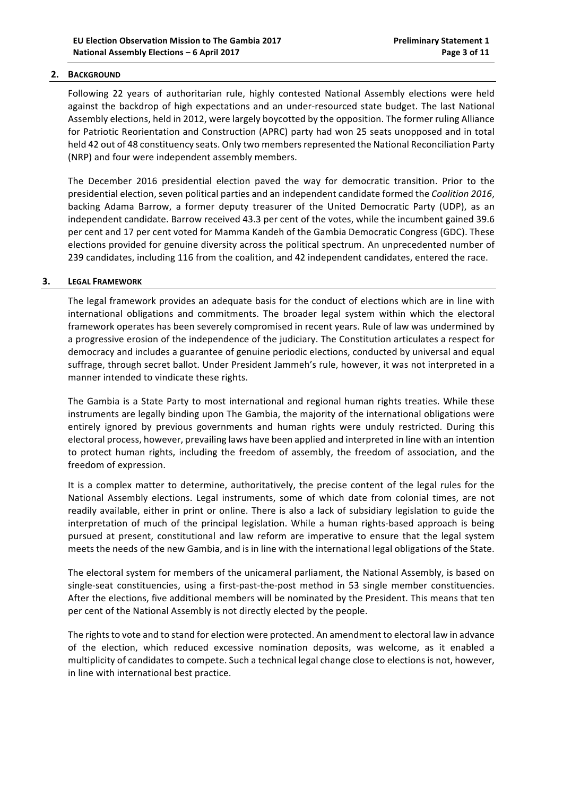### **2. BACKGROUND**

Following 22 years of authoritarian rule, highly contested National Assembly elections were held against the backdrop of high expectations and an under-resourced state budget. The last National Assembly elections, held in 2012, were largely boycotted by the opposition. The former ruling Alliance for Patriotic Reorientation and Construction (APRC) party had won 25 seats unopposed and in total held 42 out of 48 constituency seats. Only two members represented the National Reconciliation Party (NRP) and four were independent assembly members.

The December 2016 presidential election paved the way for democratic transition. Prior to the presidential election, seven political parties and an independent candidate formed the *Coalition 2016*, backing Adama Barrow, a former deputy treasurer of the United Democratic Party (UDP), as an independent candidate. Barrow received 43.3 per cent of the votes, while the incumbent gained 39.6 per cent and 17 per cent voted for Mamma Kandeh of the Gambia Democratic Congress (GDC). These elections provided for genuine diversity across the political spectrum. An unprecedented number of 239 candidates, including 116 from the coalition, and 42 independent candidates, entered the race.

#### **3.** LEGAL FRAMEWORK

The legal framework provides an adequate basis for the conduct of elections which are in line with international obligations and commitments. The broader legal system within which the electoral framework operates has been severely compromised in recent years. Rule of law was undermined by a progressive erosion of the independence of the judiciary. The Constitution articulates a respect for democracy and includes a guarantee of genuine periodic elections, conducted by universal and equal suffrage, through secret ballot. Under President Jammeh's rule, however, it was not interpreted in a manner intended to vindicate these rights.

The Gambia is a State Party to most international and regional human rights treaties. While these instruments are legally binding upon The Gambia, the majority of the international obligations were entirely ignored by previous governments and human rights were unduly restricted. During this electoral process, however, prevailing laws have been applied and interpreted in line with an intention to protect human rights, including the freedom of assembly, the freedom of association, and the freedom of expression.

It is a complex matter to determine, authoritatively, the precise content of the legal rules for the National Assembly elections. Legal instruments, some of which date from colonial times, are not readily available, either in print or online. There is also a lack of subsidiary legislation to guide the interpretation of much of the principal legislation. While a human rights-based approach is being pursued at present, constitutional and law reform are imperative to ensure that the legal system meets the needs of the new Gambia, and is in line with the international legal obligations of the State.

The electoral system for members of the unicameral parliament, the National Assembly, is based on single-seat constituencies, using a first-past-the-post method in 53 single member constituencies. After the elections, five additional members will be nominated by the President. This means that ten per cent of the National Assembly is not directly elected by the people.

The rights to vote and to stand for election were protected. An amendment to electoral law in advance of the election, which reduced excessive nomination deposits, was welcome, as it enabled a multiplicity of candidates to compete. Such a technical legal change close to elections is not, however, in line with international best practice.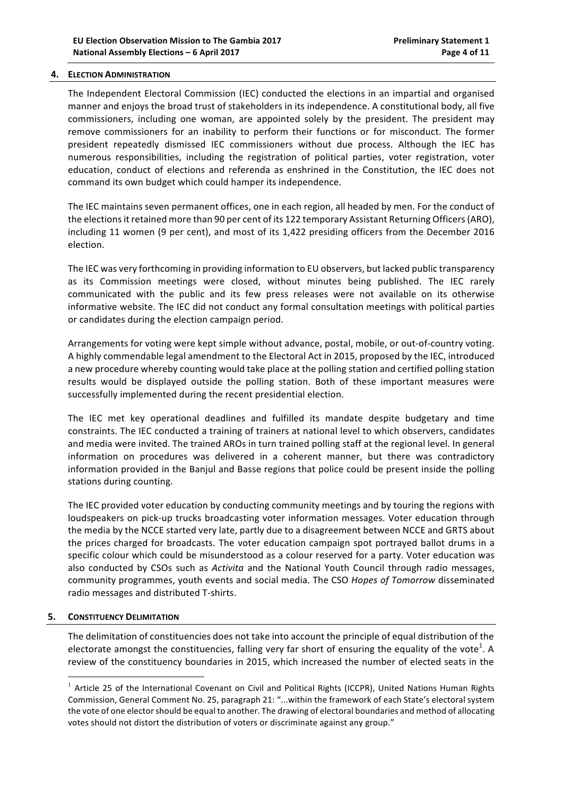#### **4. ELECTION ADMINISTRATION**

The Independent Electoral Commission (IEC) conducted the elections in an impartial and organised manner and enjoys the broad trust of stakeholders in its independence. A constitutional body, all five commissioners, including one woman, are appointed solely by the president. The president may remove commissioners for an inability to perform their functions or for misconduct. The former president repeatedly dismissed IEC commissioners without due process. Although the IEC has numerous responsibilities, including the registration of political parties, voter registration, voter education, conduct of elections and referenda as enshrined in the Constitution, the IEC does not command its own budget which could hamper its independence.

The IEC maintains seven permanent offices, one in each region, all headed by men. For the conduct of the elections it retained more than 90 per cent of its 122 temporary Assistant Returning Officers (ARO), including 11 women (9 per cent), and most of its 1,422 presiding officers from the December 2016 election.

The IEC was very forthcoming in providing information to EU observers, but lacked public transparency as its Commission meetings were closed, without minutes being published. The IEC rarely communicated with the public and its few press releases were not available on its otherwise informative website. The IEC did not conduct any formal consultation meetings with political parties or candidates during the election campaign period.

Arrangements for voting were kept simple without advance, postal, mobile, or out-of-country voting. A highly commendable legal amendment to the Electoral Act in 2015, proposed by the IEC, introduced a new procedure whereby counting would take place at the polling station and certified polling station results would be displayed outside the polling station. Both of these important measures were successfully implemented during the recent presidential election.

The IEC met key operational deadlines and fulfilled its mandate despite budgetary and time constraints. The IEC conducted a training of trainers at national level to which observers, candidates and media were invited. The trained AROs in turn trained polling staff at the regional level. In general information on procedures was delivered in a coherent manner, but there was contradictory information provided in the Banjul and Basse regions that police could be present inside the polling stations during counting.

The IEC provided voter education by conducting community meetings and by touring the regions with loudspeakers on pick-up trucks broadcasting voter information messages. Voter education through the media by the NCCE started very late, partly due to a disagreement between NCCE and GRTS about the prices charged for broadcasts. The voter education campaign spot portrayed ballot drums in a specific colour which could be misunderstood as a colour reserved for a party. Voter education was also conducted by CSOs such as *Activita* and the National Youth Council through radio messages, community programmes, youth events and social media. The CSO *Hopes of Tomorrow* disseminated radio messages and distributed T-shirts.

## **5. CONSTITUENCY DELIMITATION**

The delimitation of constituencies does not take into account the principle of equal distribution of the electorate amongst the constituencies, falling very far short of ensuring the equality of the vote<sup>1</sup>. A review of the constituency boundaries in 2015, which increased the number of elected seats in the

 $1$  Article 25 of the International Covenant on Civil and Political Rights (ICCPR), United Nations Human Rights Commission, General Comment No. 25, paragraph 21: "...within the framework of each State's electoral system the vote of one elector should be equal to another. The drawing of electoral boundaries and method of allocating votes should not distort the distribution of voters or discriminate against any group."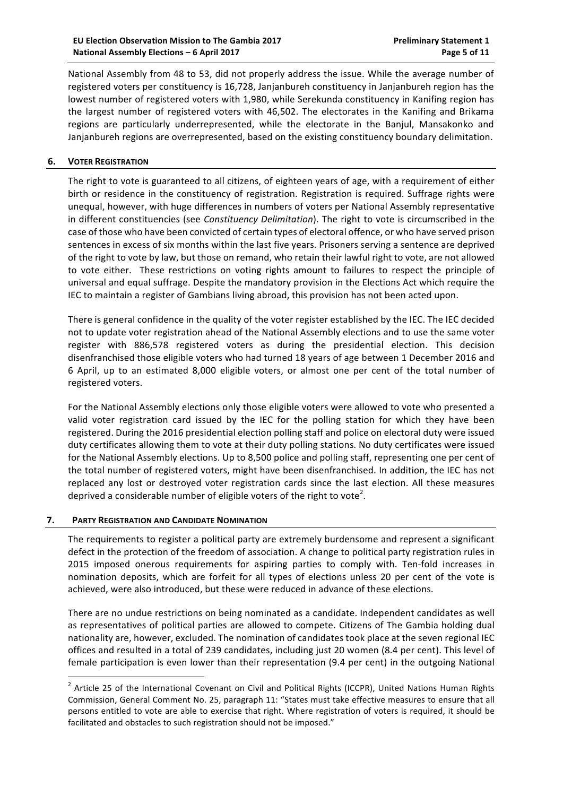National Assembly from 48 to 53, did not properly address the issue. While the average number of registered voters per constituency is 16,728, Janjanbureh constituency in Janjanbureh region has the lowest number of registered voters with 1,980, while Serekunda constituency in Kanifing region has the largest number of registered voters with 46,502. The electorates in the Kanifing and Brikama regions are particularly underrepresented, while the electorate in the Banjul, Mansakonko and Janjanbureh regions are overrepresented, based on the existing constituency boundary delimitation.

### **6. VOTER REGISTRATION**

The right to vote is guaranteed to all citizens, of eighteen years of age, with a requirement of either birth or residence in the constituency of registration. Registration is required. Suffrage rights were unequal, however, with huge differences in numbers of voters per National Assembly representative in different constituencies (see *Constituency Delimitation*). The right to vote is circumscribed in the case of those who have been convicted of certain types of electoral offence, or who have served prison sentences in excess of six months within the last five years. Prisoners serving a sentence are deprived of the right to vote by law, but those on remand, who retain their lawful right to vote, are not allowed to vote either. These restrictions on voting rights amount to failures to respect the principle of universal and equal suffrage. Despite the mandatory provision in the Elections Act which require the IEC to maintain a register of Gambians living abroad, this provision has not been acted upon.

There is general confidence in the quality of the voter register established by the IEC. The IEC decided not to update voter registration ahead of the National Assembly elections and to use the same voter register with 886,578 registered voters as during the presidential election. This decision disenfranchised those eligible voters who had turned 18 years of age between 1 December 2016 and 6 April, up to an estimated 8,000 eligible voters, or almost one per cent of the total number of registered voters.

For the National Assembly elections only those eligible voters were allowed to vote who presented a valid voter registration card issued by the IEC for the polling station for which they have been registered. During the 2016 presidential election polling staff and police on electoral duty were issued duty certificates allowing them to vote at their duty polling stations. No duty certificates were issued for the National Assembly elections. Up to 8,500 police and polling staff, representing one per cent of the total number of registered voters, might have been disenfranchised. In addition, the IEC has not replaced any lost or destroyed voter registration cards since the last election. All these measures deprived a considerable number of eligible voters of the right to vote<sup>2</sup>.

#### **7. PARTY REGISTRATION AND CANDIDATE NOMINATION**

The requirements to register a political party are extremely burdensome and represent a significant defect in the protection of the freedom of association. A change to political party registration rules in 2015 imposed onerous requirements for aspiring parties to comply with. Ten-fold increases in nomination deposits, which are forfeit for all types of elections unless 20 per cent of the vote is achieved, were also introduced, but these were reduced in advance of these elections.

There are no undue restrictions on being nominated as a candidate. Independent candidates as well as representatives of political parties are allowed to compete. Citizens of The Gambia holding dual nationality are, however, excluded. The nomination of candidates took place at the seven regional IEC offices and resulted in a total of 239 candidates, including just 20 women (8.4 per cent). This level of female participation is even lower than their representation (9.4 per cent) in the outgoing National

 $2$  Article 25 of the International Covenant on Civil and Political Rights (ICCPR), United Nations Human Rights Commission, General Comment No. 25, paragraph 11: "States must take effective measures to ensure that all persons entitled to vote are able to exercise that right. Where registration of voters is required, it should be facilitated and obstacles to such registration should not be imposed."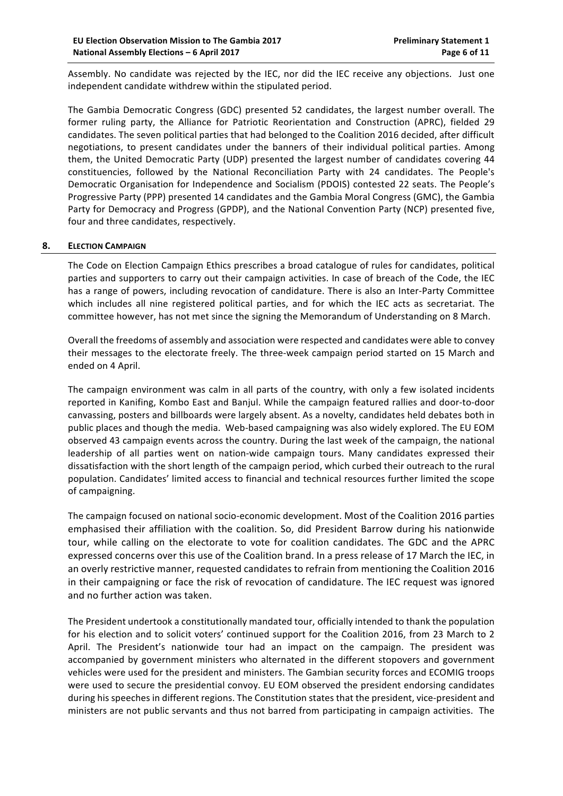Assembly. No candidate was rejected by the IEC, nor did the IEC receive any objections. Just one independent candidate withdrew within the stipulated period.

The Gambia Democratic Congress (GDC) presented 52 candidates, the largest number overall. The former ruling party, the Alliance for Patriotic Reorientation and Construction (APRC), fielded 29 candidates. The seven political parties that had belonged to the Coalition 2016 decided, after difficult negotiations, to present candidates under the banners of their individual political parties. Among them, the United Democratic Party (UDP) presented the largest number of candidates covering 44 constituencies, followed by the National Reconciliation Party with 24 candidates. The People's Democratic Organisation for Independence and Socialism (PDOIS) contested 22 seats. The People's Progressive Party (PPP) presented 14 candidates and the Gambia Moral Congress (GMC), the Gambia Party for Democracy and Progress (GPDP), and the National Convention Party (NCP) presented five, four and three candidates, respectively.

## **8. ELECTION CAMPAIGN**

The Code on Election Campaign Ethics prescribes a broad catalogue of rules for candidates, political parties and supporters to carry out their campaign activities. In case of breach of the Code, the IEC has a range of powers, including revocation of candidature. There is also an Inter-Party Committee which includes all nine registered political parties, and for which the IEC acts as secretariat. The committee however, has not met since the signing the Memorandum of Understanding on 8 March.

Overall the freedoms of assembly and association were respected and candidates were able to convey their messages to the electorate freely. The three-week campaign period started on 15 March and ended on 4 April.

The campaign environment was calm in all parts of the country, with only a few isolated incidents reported in Kanifing, Kombo East and Banjul. While the campaign featured rallies and door-to-door canvassing, posters and billboards were largely absent. As a novelty, candidates held debates both in public places and though the media. Web-based campaigning was also widely explored. The EU EOM observed 43 campaign events across the country. During the last week of the campaign, the national leadership of all parties went on nation-wide campaign tours. Many candidates expressed their dissatisfaction with the short length of the campaign period, which curbed their outreach to the rural population. Candidates' limited access to financial and technical resources further limited the scope of campaigning.

The campaign focused on national socio-economic development. Most of the Coalition 2016 parties emphasised their affiliation with the coalition. So, did President Barrow during his nationwide tour, while calling on the electorate to vote for coalition candidates. The GDC and the APRC expressed concerns over this use of the Coalition brand. In a press release of 17 March the IEC, in an overly restrictive manner, requested candidates to refrain from mentioning the Coalition 2016 in their campaigning or face the risk of revocation of candidature. The IEC request was ignored and no further action was taken.

The President undertook a constitutionally mandated tour, officially intended to thank the population for his election and to solicit voters' continued support for the Coalition 2016, from 23 March to 2 April. The President's nationwide tour had an impact on the campaign. The president was accompanied by government ministers who alternated in the different stopovers and government vehicles were used for the president and ministers. The Gambian security forces and ECOMIG troops were used to secure the presidential convoy. EU EOM observed the president endorsing candidates during his speeches in different regions. The Constitution states that the president, vice-president and ministers are not public servants and thus not barred from participating in campaign activities. The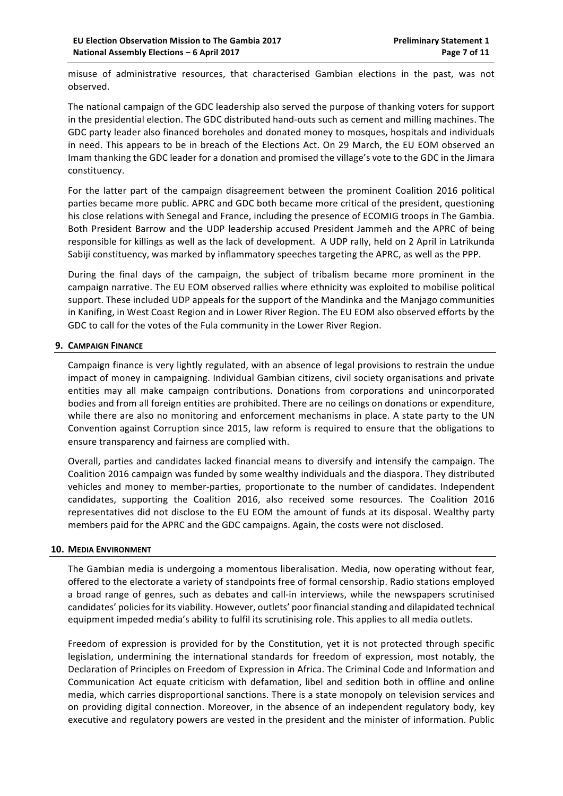misuse of administrative resources, that characterised Gambian elections in the past, was not observed.

The national campaign of the GDC leadership also served the purpose of thanking voters for support in the presidential election. The GDC distributed hand-outs such as cement and milling machines. The GDC party leader also financed boreholes and donated money to mosques, hospitals and individuals in need. This appears to be in breach of the Elections Act. On 29 March, the EU EOM observed an Imam thanking the GDC leader for a donation and promised the village's vote to the GDC in the Jimara constituency.

For the latter part of the campaign disagreement between the prominent Coalition 2016 political parties became more public. APRC and GDC both became more critical of the president, questioning his close relations with Senegal and France, including the presence of ECOMIG troops in The Gambia. Both President Barrow and the UDP leadership accused President Jammeh and the APRC of being responsible for killings as well as the lack of development. A UDP rally, held on 2 April in Latrikunda Sabiji constituency, was marked by inflammatory speeches targeting the APRC, as well as the PPP.

During the final days of the campaign, the subject of tribalism became more prominent in the campaign narrative. The EU EOM observed rallies where ethnicity was exploited to mobilise political support. These included UDP appeals for the support of the Mandinka and the Manjago communities in Kanifing, in West Coast Region and in Lower River Region. The EU EOM also observed efforts by the GDC to call for the votes of the Fula community in the Lower River Region.

## **9. CAMPAIGN FINANCE**

Campaign finance is very lightly regulated, with an absence of legal provisions to restrain the undue impact of money in campaigning. Individual Gambian citizens, civil society organisations and private entities may all make campaign contributions. Donations from corporations and unincorporated bodies and from all foreign entities are prohibited. There are no ceilings on donations or expenditure, while there are also no monitoring and enforcement mechanisms in place. A state party to the UN Convention against Corruption since 2015, law reform is required to ensure that the obligations to ensure transparency and fairness are complied with.

Overall, parties and candidates lacked financial means to diversify and intensify the campaign. The Coalition 2016 campaign was funded by some wealthy individuals and the diaspora. They distributed vehicles and money to member-parties, proportionate to the number of candidates. Independent candidates, supporting the Coalition 2016, also received some resources. The Coalition 2016 representatives did not disclose to the EU EOM the amount of funds at its disposal. Wealthy party members paid for the APRC and the GDC campaigns. Again, the costs were not disclosed.

## **10. MEDIA ENVIRONMENT**

The Gambian media is undergoing a momentous liberalisation. Media, now operating without fear, offered to the electorate a variety of standpoints free of formal censorship. Radio stations employed a broad range of genres, such as debates and call-in interviews, while the newspapers scrutinised candidates' policies for its viability. However, outlets' poor financial standing and dilapidated technical equipment impeded media's ability to fulfil its scrutinising role. This applies to all media outlets.

Freedom of expression is provided for by the Constitution, yet it is not protected through specific legislation, undermining the international standards for freedom of expression, most notably, the Declaration of Principles on Freedom of Expression in Africa. The Criminal Code and Information and Communication Act equate criticism with defamation, libel and sedition both in offline and online media, which carries disproportional sanctions. There is a state monopoly on television services and on providing digital connection. Moreover, in the absence of an independent regulatory body, key executive and regulatory powers are vested in the president and the minister of information. Public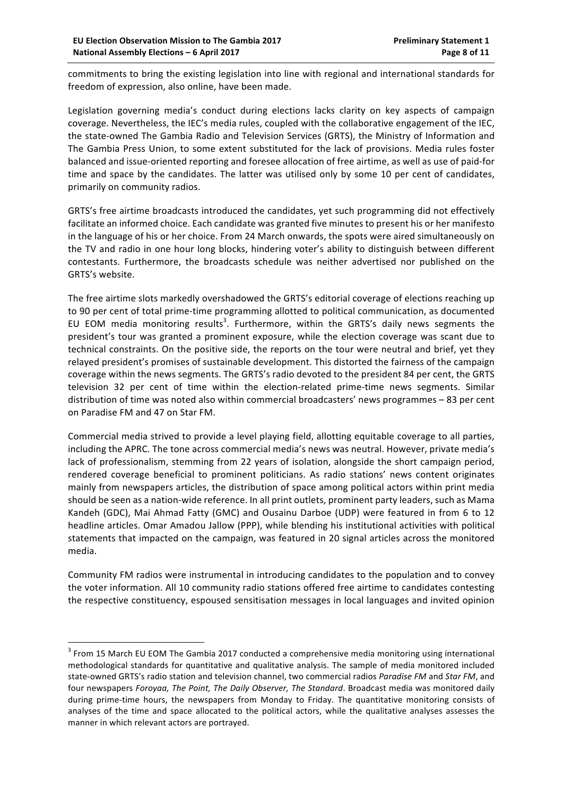commitments to bring the existing legislation into line with regional and international standards for freedom of expression, also online, have been made.

Legislation governing media's conduct during elections lacks clarity on key aspects of campaign coverage. Nevertheless, the IEC's media rules, coupled with the collaborative engagement of the IEC, the state-owned The Gambia Radio and Television Services (GRTS), the Ministry of Information and The Gambia Press Union, to some extent substituted for the lack of provisions. Media rules foster balanced and issue-oriented reporting and foresee allocation of free airtime, as well as use of paid-for time and space by the candidates. The latter was utilised only by some 10 per cent of candidates, primarily on community radios.

GRTS's free airtime broadcasts introduced the candidates, yet such programming did not effectively facilitate an informed choice. Each candidate was granted five minutes to present his or her manifesto in the language of his or her choice. From 24 March onwards, the spots were aired simultaneously on the TV and radio in one hour long blocks, hindering voter's ability to distinguish between different contestants. Furthermore, the broadcasts schedule was neither advertised nor published on the GRTS's website.

The free airtime slots markedly overshadowed the GRTS's editorial coverage of elections reaching up to 90 per cent of total prime-time programming allotted to political communication, as documented EU EOM media monitoring results<sup>3</sup>. Furthermore, within the GRTS's daily news segments the president's tour was granted a prominent exposure, while the election coverage was scant due to technical constraints. On the positive side, the reports on the tour were neutral and brief, yet they relayed president's promises of sustainable development. This distorted the fairness of the campaign coverage within the news segments. The GRTS's radio devoted to the president 84 per cent, the GRTS television 32 per cent of time within the election-related prime-time news segments. Similar distribution of time was noted also within commercial broadcasters' news programmes – 83 per cent on Paradise FM and 47 on Star FM.

Commercial media strived to provide a level playing field, allotting equitable coverage to all parties, including the APRC. The tone across commercial media's news was neutral. However, private media's lack of professionalism, stemming from 22 years of isolation, alongside the short campaign period, rendered coverage beneficial to prominent politicians. As radio stations' news content originates mainly from newspapers articles, the distribution of space among political actors within print media should be seen as a nation-wide reference. In all print outlets, prominent party leaders, such as Mama Kandeh (GDC), Mai Ahmad Fatty (GMC) and Ousainu Darboe (UDP) were featured in from 6 to 12 headline articles. Omar Amadou Jallow (PPP), while blending his institutional activities with political statements that impacted on the campaign, was featured in 20 signal articles across the monitored media. 

Community FM radios were instrumental in introducing candidates to the population and to convey the voter information. All 10 community radio stations offered free airtime to candidates contesting the respective constituency, espoused sensitisation messages in local languages and invited opinion

 $3$  From 15 March EU EOM The Gambia 2017 conducted a comprehensive media monitoring using international methodological standards for quantitative and qualitative analysis. The sample of media monitored included state-owned GRTS's radio station and television channel, two commercial radios Paradise FM and Star FM, and four newspapers *Foroyaa, The Point, The Daily Observer, The Standard*. Broadcast media was monitored daily during prime-time hours, the newspapers from Monday to Friday. The quantitative monitoring consists of analyses of the time and space allocated to the political actors, while the qualitative analyses assesses the manner in which relevant actors are portrayed.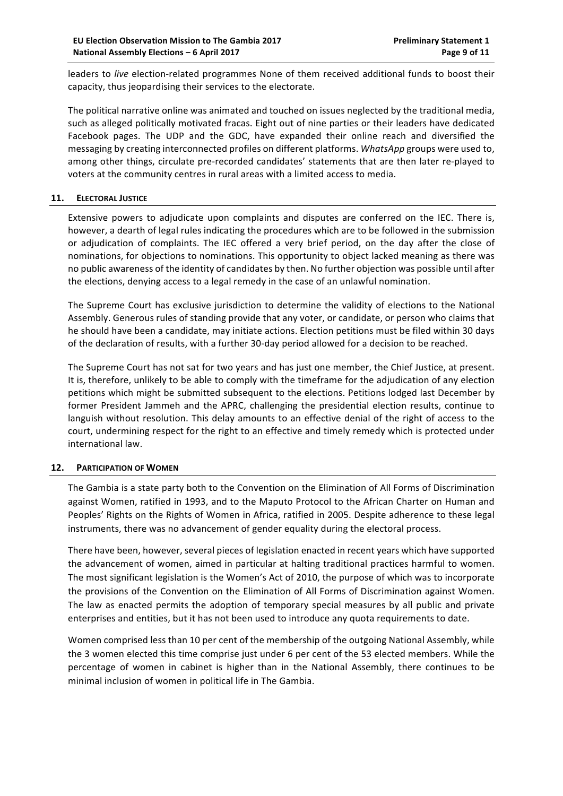leaders to *live* election-related programmes None of them received additional funds to boost their capacity, thus jeopardising their services to the electorate.

The political narrative online was animated and touched on issues neglected by the traditional media, such as alleged politically motivated fracas. Eight out of nine parties or their leaders have dedicated Facebook pages. The UDP and the GDC, have expanded their online reach and diversified the messaging by creating interconnected profiles on different platforms. WhatsApp groups were used to, among other things, circulate pre-recorded candidates' statements that are then later re-played to voters at the community centres in rural areas with a limited access to media.

### **11. ELECTORAL JUSTICE**

Extensive powers to adjudicate upon complaints and disputes are conferred on the IEC. There is, however, a dearth of legal rules indicating the procedures which are to be followed in the submission or adjudication of complaints. The IEC offered a very brief period, on the day after the close of nominations, for objections to nominations. This opportunity to object lacked meaning as there was no public awareness of the identity of candidates by then. No further objection was possible until after the elections, denying access to a legal remedy in the case of an unlawful nomination.

The Supreme Court has exclusive jurisdiction to determine the validity of elections to the National Assembly. Generous rules of standing provide that any voter, or candidate, or person who claims that he should have been a candidate, may initiate actions. Election petitions must be filed within 30 days of the declaration of results, with a further 30-day period allowed for a decision to be reached.

The Supreme Court has not sat for two years and has just one member, the Chief Justice, at present. It is, therefore, unlikely to be able to comply with the timeframe for the adjudication of any election petitions which might be submitted subsequent to the elections. Petitions lodged last December by former President Jammeh and the APRC, challenging the presidential election results, continue to languish without resolution. This delay amounts to an effective denial of the right of access to the court, undermining respect for the right to an effective and timely remedy which is protected under international law.

## **12. PARTICIPATION OF WOMEN**

The Gambia is a state party both to the Convention on the Elimination of All Forms of Discrimination against Women, ratified in 1993, and to the Maputo Protocol to the African Charter on Human and Peoples' Rights on the Rights of Women in Africa, ratified in 2005. Despite adherence to these legal instruments, there was no advancement of gender equality during the electoral process.

There have been, however, several pieces of legislation enacted in recent years which have supported the advancement of women, aimed in particular at halting traditional practices harmful to women. The most significant legislation is the Women's Act of 2010, the purpose of which was to incorporate the provisions of the Convention on the Elimination of All Forms of Discrimination against Women. The law as enacted permits the adoption of temporary special measures by all public and private enterprises and entities, but it has not been used to introduce any quota requirements to date.

Women comprised less than 10 per cent of the membership of the outgoing National Assembly, while the 3 women elected this time comprise just under 6 per cent of the 53 elected members. While the percentage of women in cabinet is higher than in the National Assembly, there continues to be minimal inclusion of women in political life in The Gambia.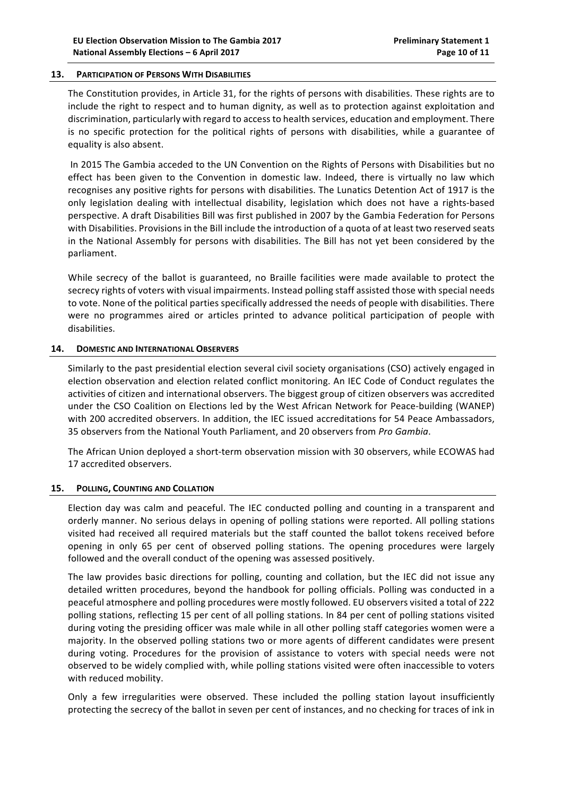#### **13. PARTICIPATION OF PERSONS WITH DISABILITIES**

The Constitution provides, in Article 31, for the rights of persons with disabilities. These rights are to include the right to respect and to human dignity, as well as to protection against exploitation and discrimination, particularly with regard to access to health services, education and employment. There is no specific protection for the political rights of persons with disabilities, while a guarantee of equality is also absent.

In 2015 The Gambia acceded to the UN Convention on the Rights of Persons with Disabilities but no effect has been given to the Convention in domestic law. Indeed, there is virtually no law which recognises any positive rights for persons with disabilities. The Lunatics Detention Act of 1917 is the only legislation dealing with intellectual disability, legislation which does not have a rights-based perspective. A draft Disabilities Bill was first published in 2007 by the Gambia Federation for Persons with Disabilities. Provisions in the Bill include the introduction of a quota of at least two reserved seats in the National Assembly for persons with disabilities. The Bill has not yet been considered by the parliament.

While secrecy of the ballot is guaranteed, no Braille facilities were made available to protect the secrecy rights of voters with visual impairments. Instead polling staff assisted those with special needs to vote. None of the political parties specifically addressed the needs of people with disabilities. There were no programmes aired or articles printed to advance political participation of people with disabilities. 

#### **14. DOMESTIC AND INTERNATIONAL OBSERVERS**

Similarly to the past presidential election several civil society organisations (CSO) actively engaged in election observation and election related conflict monitoring. An IEC Code of Conduct regulates the activities of citizen and international observers. The biggest group of citizen observers was accredited under the CSO Coalition on Elections led by the West African Network for Peace-building (WANEP) with 200 accredited observers. In addition, the IEC issued accreditations for 54 Peace Ambassadors, 35 observers from the National Youth Parliament, and 20 observers from Pro Gambia.

The African Union deployed a short-term observation mission with 30 observers, while ECOWAS had 17 accredited observers.

#### **15. POLLING, COUNTING AND COLLATION**

Election day was calm and peaceful. The IEC conducted polling and counting in a transparent and orderly manner. No serious delays in opening of polling stations were reported. All polling stations visited had received all required materials but the staff counted the ballot tokens received before opening in only 65 per cent of observed polling stations. The opening procedures were largely followed and the overall conduct of the opening was assessed positively.

The law provides basic directions for polling, counting and collation, but the IEC did not issue any detailed written procedures, beyond the handbook for polling officials. Polling was conducted in a peaceful atmosphere and polling procedures were mostly followed. EU observers visited a total of 222 polling stations, reflecting 15 per cent of all polling stations. In 84 per cent of polling stations visited during voting the presiding officer was male while in all other polling staff categories women were a majority. In the observed polling stations two or more agents of different candidates were present during voting. Procedures for the provision of assistance to voters with special needs were not observed to be widely complied with, while polling stations visited were often inaccessible to voters with reduced mobility.

Only a few irregularities were observed. These included the polling station layout insufficiently protecting the secrecy of the ballot in seven per cent of instances, and no checking for traces of ink in